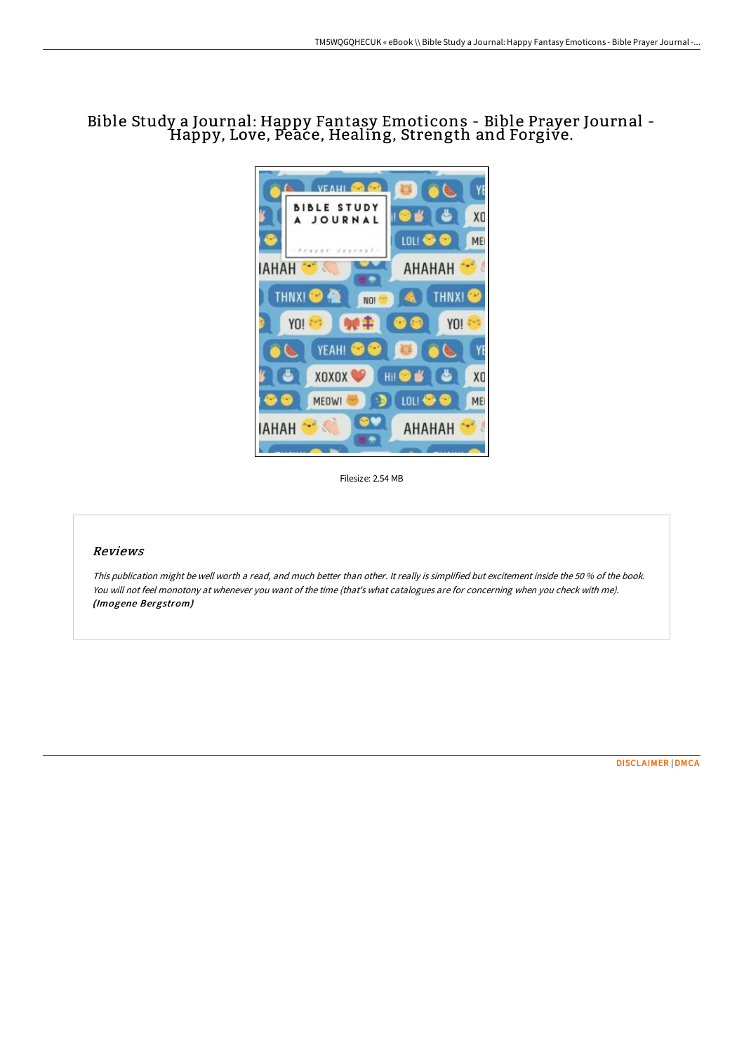## Bible Study <sup>a</sup> Journal: Happy Fantasy Emoticons - Bible Prayer Journal - Happy, Love, Peace, Healing, Strength and Forgive.



Filesize: 2.54 MB

## Reviews

This publication might be well worth <sup>a</sup> read, and much better than other. It really is simplified but excitement inside the <sup>50</sup> % of the book. You will not feel monotony at whenever you want of the time (that's what catalogues are for concerning when you check with me). (Imogene Bergstrom)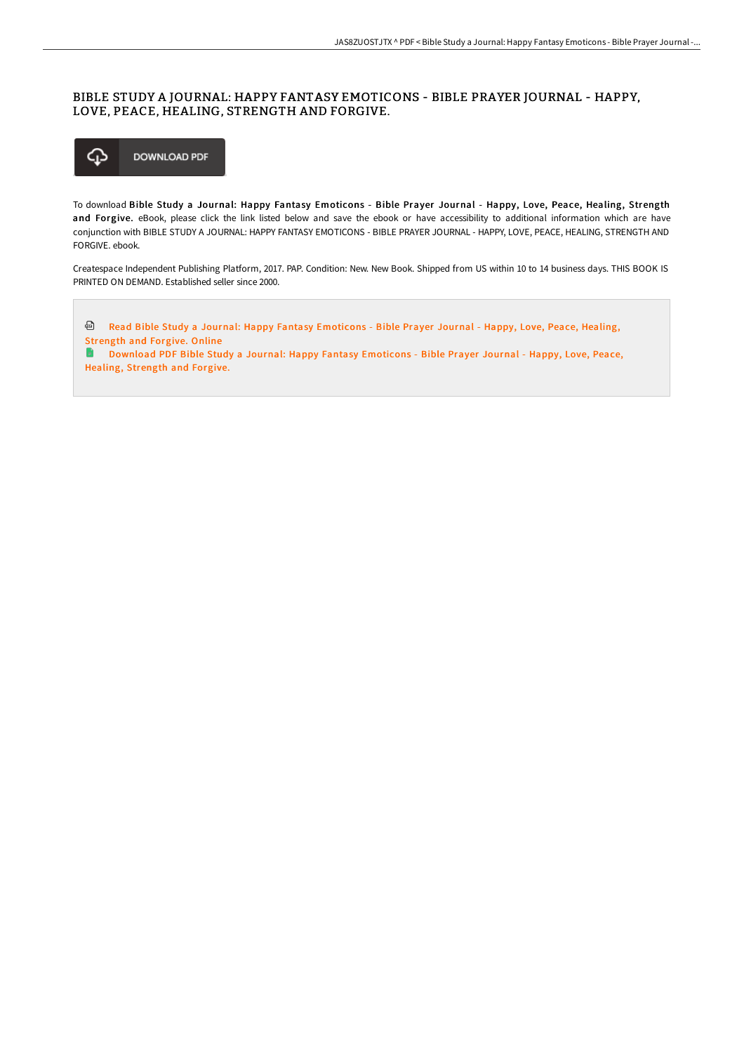## BIBLE STUDY A JOURNAL: HAPPY FANTASY EMOTICONS - BIBLE PRAYER JOURNAL - HAPPY, LOVE, PEACE, HEALING, STRENGTH AND FORGIVE.



To download Bible Study a Journal: Happy Fantasy Emoticons - Bible Prayer Journal - Happy, Love, Peace, Healing, Strength and Forgive. eBook, please click the link listed below and save the ebook or have accessibility to additional information which are have conjunction with BIBLE STUDY A JOURNAL: HAPPY FANTASY EMOTICONS - BIBLE PRAYER JOURNAL - HAPPY, LOVE, PEACE, HEALING, STRENGTH AND FORGIVE. ebook.

Createspace Independent Publishing Platform, 2017. PAP. Condition: New. New Book. Shipped from US within 10 to 14 business days. THIS BOOK IS PRINTED ON DEMAND. Established seller since 2000.